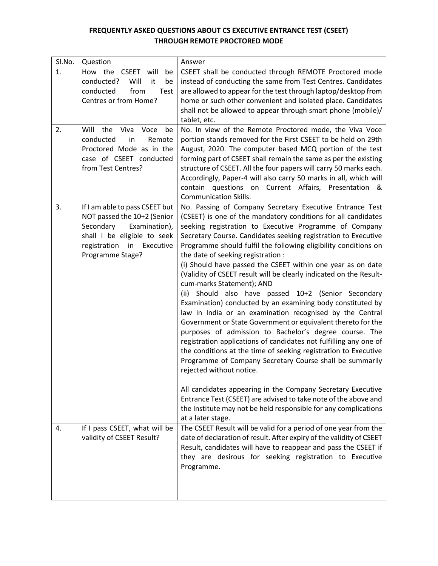## **FREQUENTLY ASKED QUESTIONS ABOUT CS EXECUTIVE ENTRANCE TEST (CSEET) THROUGH REMOTE PROCTORED MODE**

| SI.No. | Question                                                                                                                                                                          | Answer                                                                                                                                                                                                                                                                                                                                                                                                                                                                                                                                                                                                                                                                                                                                                                                                                                                                                                                                                                                                                                                                                                                                                                                                                                                                                                |
|--------|-----------------------------------------------------------------------------------------------------------------------------------------------------------------------------------|-------------------------------------------------------------------------------------------------------------------------------------------------------------------------------------------------------------------------------------------------------------------------------------------------------------------------------------------------------------------------------------------------------------------------------------------------------------------------------------------------------------------------------------------------------------------------------------------------------------------------------------------------------------------------------------------------------------------------------------------------------------------------------------------------------------------------------------------------------------------------------------------------------------------------------------------------------------------------------------------------------------------------------------------------------------------------------------------------------------------------------------------------------------------------------------------------------------------------------------------------------------------------------------------------------|
| 1.     | How the CSEET will<br>be<br>conducted?<br>be<br>Will<br>it<br>conducted<br>from<br>Test<br>Centres or from Home?                                                                  | CSEET shall be conducted through REMOTE Proctored mode<br>instead of conducting the same from Test Centres. Candidates<br>are allowed to appear for the test through laptop/desktop from<br>home or such other convenient and isolated place. Candidates<br>shall not be allowed to appear through smart phone (mobile)/<br>tablet, etc.                                                                                                                                                                                                                                                                                                                                                                                                                                                                                                                                                                                                                                                                                                                                                                                                                                                                                                                                                              |
| 2.     | Will the<br>Viva<br>Voce<br>be<br>conducted<br>in<br>Remote<br>Proctored Mode as in the<br>case of CSEET conducted<br>from Test Centres?                                          | No. In view of the Remote Proctored mode, the Viva Voce<br>portion stands removed for the First CSEET to be held on 29th<br>August, 2020. The computer based MCQ portion of the test<br>forming part of CSEET shall remain the same as per the existing<br>structure of CSEET. All the four papers will carry 50 marks each.<br>Accordingly, Paper-4 will also carry 50 marks in all, which will<br>contain questions on Current Affairs, Presentation &<br><b>Communication Skills.</b>                                                                                                                                                                                                                                                                                                                                                                                                                                                                                                                                                                                                                                                                                                                                                                                                              |
| 3.     | If I am able to pass CSEET but<br>NOT passed the 10+2 (Senior<br>Examination),<br>Secondary<br>shall I be eligible to seek<br>registration<br>in<br>Executive<br>Programme Stage? | No. Passing of Company Secretary Executive Entrance Test<br>(CSEET) is one of the mandatory conditions for all candidates<br>seeking registration to Executive Programme of Company<br>Secretary Course. Candidates seeking registration to Executive<br>Programme should fulfil the following eligibility conditions on<br>the date of seeking registration :<br>(i) Should have passed the CSEET within one year as on date<br>(Validity of CSEET result will be clearly indicated on the Result-<br>cum-marks Statement); AND<br>(ii) Should also have passed 10+2 (Senior Secondary<br>Examination) conducted by an examining body constituted by<br>law in India or an examination recognised by the Central<br>Government or State Government or equivalent thereto for the<br>purposes of admission to Bachelor's degree course. The<br>registration applications of candidates not fulfilling any one of<br>the conditions at the time of seeking registration to Executive<br>Programme of Company Secretary Course shall be summarily<br>rejected without notice.<br>All candidates appearing in the Company Secretary Executive<br>Entrance Test (CSEET) are advised to take note of the above and<br>the Institute may not be held responsible for any complications<br>at a later stage. |
| 4.     | If I pass CSEET, what will be<br>validity of CSEET Result?                                                                                                                        | The CSEET Result will be valid for a period of one year from the<br>date of declaration of result. After expiry of the validity of CSEET<br>Result, candidates will have to reappear and pass the CSEET if<br>they are desirous for seeking registration to Executive<br>Programme.                                                                                                                                                                                                                                                                                                                                                                                                                                                                                                                                                                                                                                                                                                                                                                                                                                                                                                                                                                                                                   |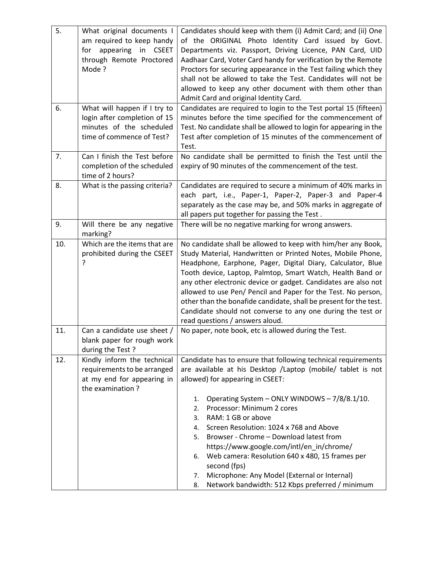| 5.  | What original documents I     | Candidates should keep with them (i) Admit Card; and (ii) One     |
|-----|-------------------------------|-------------------------------------------------------------------|
|     | am required to keep handy     | of the ORIGINAL Photo Identity Card issued by Govt.               |
|     | appearing in CSEET<br>for     | Departments viz. Passport, Driving Licence, PAN Card, UID         |
|     | through Remote Proctored      | Aadhaar Card, Voter Card handy for verification by the Remote     |
|     | Mode?                         | Proctors for securing appearance in the Test failing which they   |
|     |                               | shall not be allowed to take the Test. Candidates will not be     |
|     |                               | allowed to keep any other document with them other than           |
|     |                               | Admit Card and original Identity Card.                            |
| 6.  | What will happen if I try to  | Candidates are required to login to the Test portal 15 (fifteen)  |
|     | login after completion of 15  | minutes before the time specified for the commencement of         |
|     | minutes of the scheduled      | Test. No candidate shall be allowed to login for appearing in the |
|     | time of commence of Test?     | Test after completion of 15 minutes of the commencement of        |
|     |                               | Test.                                                             |
| 7.  | Can I finish the Test before  | No candidate shall be permitted to finish the Test until the      |
|     | completion of the scheduled   | expiry of 90 minutes of the commencement of the test.             |
|     | time of 2 hours?              |                                                                   |
| 8.  | What is the passing criteria? | Candidates are required to secure a minimum of 40% marks in       |
|     |                               | each part, i.e., Paper-1, Paper-2, Paper-3 and Paper-4            |
|     |                               | separately as the case may be, and 50% marks in aggregate of      |
|     |                               | all papers put together for passing the Test.                     |
| 9.  | Will there be any negative    | There will be no negative marking for wrong answers.              |
|     | marking?                      |                                                                   |
| 10. | Which are the items that are  | No candidate shall be allowed to keep with him/her any Book,      |
|     | prohibited during the CSEET   | Study Material, Handwritten or Printed Notes, Mobile Phone,       |
|     | ?                             | Headphone, Earphone, Pager, Digital Diary, Calculator, Blue       |
|     |                               | Tooth device, Laptop, Palmtop, Smart Watch, Health Band or        |
|     |                               | any other electronic device or gadget. Candidates are also not    |
|     |                               | allowed to use Pen/ Pencil and Paper for the Test. No person,     |
|     |                               | other than the bonafide candidate, shall be present for the test. |
|     |                               | Candidate should not converse to any one during the test or       |
|     |                               | read questions / answers aloud.                                   |
| 11. | Can a candidate use sheet /   | No paper, note book, etc is allowed during the Test.              |
|     | blank paper for rough work    |                                                                   |
|     | during the Test?              |                                                                   |
| 12. | Kindly inform the technical   | Candidate has to ensure that following technical requirements     |
|     | requirements to be arranged   | are available at his Desktop /Laptop (mobile/ tablet is not       |
|     | at my end for appearing in    | allowed) for appearing in CSEET:                                  |
|     | the examination?              |                                                                   |
|     |                               | Operating System - ONLY WINDOWS - 7/8/8.1/10.<br>1.               |
|     |                               | Processor: Minimum 2 cores<br>2.                                  |
|     |                               | RAM: 1 GB or above<br>3.                                          |
|     |                               | Screen Resolution: 1024 x 768 and Above<br>4.                     |
|     |                               | Browser - Chrome - Download latest from<br>5.                     |
|     |                               | https://www.google.com/intl/en_in/chrome/                         |
|     |                               | Web camera: Resolution 640 x 480, 15 frames per<br>6.             |
|     |                               | second (fps)                                                      |
|     |                               | Microphone: Any Model (External or Internal)<br>7.                |
|     |                               | Network bandwidth: 512 Kbps preferred / minimum<br>8.             |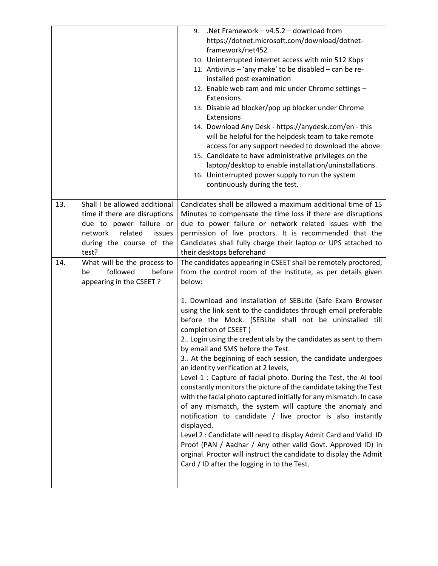|     |                                                                                                                                                                | .Net Framework $- v4.5.2 -$ download from<br>9.<br>https://dotnet.microsoft.com/download/dotnet-<br>framework/net452<br>10. Uninterrupted internet access with min 512 Kbps<br>11. Antivirus - 'any make' to be disabled - can be re-<br>installed post examination<br>12. Enable web cam and mic under Chrome settings -<br>Extensions<br>13. Disable ad blocker/pop up blocker under Chrome<br>Extensions<br>14. Download Any Desk - https://anydesk.com/en - this<br>will be helpful for the helpdesk team to take remote<br>access for any support needed to download the above.<br>15. Candidate to have administrative privileges on the                                                                                                                                                                                                                                                                                                                                                                                              |
|-----|----------------------------------------------------------------------------------------------------------------------------------------------------------------|---------------------------------------------------------------------------------------------------------------------------------------------------------------------------------------------------------------------------------------------------------------------------------------------------------------------------------------------------------------------------------------------------------------------------------------------------------------------------------------------------------------------------------------------------------------------------------------------------------------------------------------------------------------------------------------------------------------------------------------------------------------------------------------------------------------------------------------------------------------------------------------------------------------------------------------------------------------------------------------------------------------------------------------------|
|     |                                                                                                                                                                | laptop/desktop to enable installation/uninstallations.<br>16. Uninterrupted power supply to run the system<br>continuously during the test.                                                                                                                                                                                                                                                                                                                                                                                                                                                                                                                                                                                                                                                                                                                                                                                                                                                                                                 |
| 13. | Shall I be allowed additional<br>time if there are disruptions<br>due to power failure or<br>related<br>network<br>issues<br>during the course of the<br>test? | Candidates shall be allowed a maximum additional time of 15<br>Minutes to compensate the time loss if there are disruptions<br>due to power failure or network related issues with the<br>permission of live proctors. It is recommended that the<br>Candidates shall fully charge their laptop or UPS attached to<br>their desktops beforehand                                                                                                                                                                                                                                                                                                                                                                                                                                                                                                                                                                                                                                                                                             |
| 14. | What will be the process to<br>followed<br>before<br>be<br>appearing in the CSEET?                                                                             | The candidates appearing in CSEET shall be remotely proctored,<br>from the control room of the Institute, as per details given<br>below:                                                                                                                                                                                                                                                                                                                                                                                                                                                                                                                                                                                                                                                                                                                                                                                                                                                                                                    |
|     |                                                                                                                                                                | 1. Download and installation of SEBLite (Safe Exam Browser<br>using the link sent to the candidates through email preferable<br>before the Mock. (SEBLite shall not be uninstalled till<br>completion of CSEET)<br>2 Login using the credentials by the candidates as sent to them<br>by email and SMS before the Test.<br>3 At the beginning of each session, the candidate undergoes<br>an identity verification at 2 levels,<br>Level 1 : Capture of facial photo. During the Test, the AI tool<br>constantly monitors the picture of the candidate taking the Test<br>with the facial photo captured initially for any mismatch. In case<br>of any mismatch, the system will capture the anomaly and<br>notification to candidate / live proctor is also instantly<br>displayed.<br>Level 2 : Candidate will need to display Admit Card and Valid ID<br>Proof (PAN / Aadhar / Any other valid Govt. Approved ID) in<br>orginal. Proctor will instruct the candidate to display the Admit<br>Card / ID after the logging in to the Test. |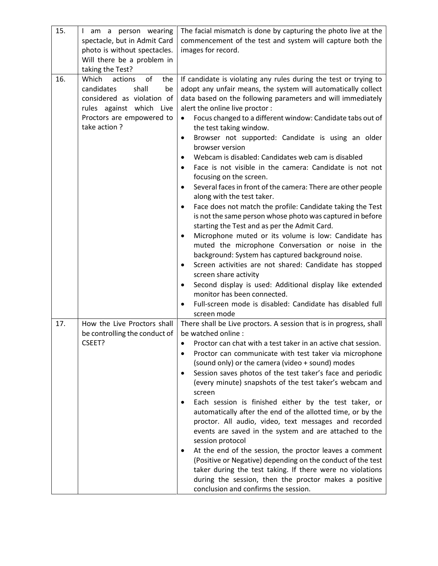| 15. | I am a person wearing<br>spectacle, but in Admit Card<br>photo is without spectacles.<br>Will there be a problem in<br>taking the Test?                           | The facial mismatch is done by capturing the photo live at the<br>commencement of the test and system will capture both the<br>images for record.                                                                                                                                                                                                                                                                                                                                                                                                                                                                                                                                                                                                                                                                                                                                                                                                                                                                                                                                                                                                                                                                                                                                                   |
|-----|-------------------------------------------------------------------------------------------------------------------------------------------------------------------|-----------------------------------------------------------------------------------------------------------------------------------------------------------------------------------------------------------------------------------------------------------------------------------------------------------------------------------------------------------------------------------------------------------------------------------------------------------------------------------------------------------------------------------------------------------------------------------------------------------------------------------------------------------------------------------------------------------------------------------------------------------------------------------------------------------------------------------------------------------------------------------------------------------------------------------------------------------------------------------------------------------------------------------------------------------------------------------------------------------------------------------------------------------------------------------------------------------------------------------------------------------------------------------------------------|
| 16. | of<br>Which<br>actions<br>the<br>candidates<br>shall<br>be<br>considered as violation of<br>rules against which Live<br>Proctors are empowered to<br>take action? | If candidate is violating any rules during the test or trying to<br>adopt any unfair means, the system will automatically collect<br>data based on the following parameters and will immediately<br>alert the online live proctor :<br>Focus changed to a different window: Candidate tabs out of<br>$\bullet$<br>the test taking window.<br>Browser not supported: Candidate is using an older<br>٠<br>browser version<br>Webcam is disabled: Candidates web cam is disabled<br>٠<br>Face is not visible in the camera: Candidate is not not<br>focusing on the screen.<br>Several faces in front of the camera: There are other people<br>$\bullet$<br>along with the test taker.<br>Face does not match the profile: Candidate taking the Test<br>٠<br>is not the same person whose photo was captured in before<br>starting the Test and as per the Admit Card.<br>Microphone muted or its volume is low: Candidate has<br>muted the microphone Conversation or noise in the<br>background: System has captured background noise.<br>Screen activities are not shared: Candidate has stopped<br>٠<br>screen share activity<br>Second display is used: Additional display like extended<br>$\bullet$<br>monitor has been connected.<br>Full-screen mode is disabled: Candidate has disabled full |
|     |                                                                                                                                                                   | screen mode                                                                                                                                                                                                                                                                                                                                                                                                                                                                                                                                                                                                                                                                                                                                                                                                                                                                                                                                                                                                                                                                                                                                                                                                                                                                                         |
| 17. | How the Live Proctors shall<br>be controlling the conduct of<br>CSEET?                                                                                            | There shall be Live proctors. A session that is in progress, shall<br>be watched online :<br>Proctor can chat with a test taker in an active chat session.<br>Proctor can communicate with test taker via microphone<br>(sound only) or the camera (video + sound) modes<br>Session saves photos of the test taker's face and periodic<br>(every minute) snapshots of the test taker's webcam and<br>screen<br>Each session is finished either by the test taker, or<br>automatically after the end of the allotted time, or by the<br>proctor. All audio, video, text messages and recorded<br>events are saved in the system and are attached to the<br>session protocol<br>At the end of the session, the proctor leaves a comment<br>٠<br>(Positive or Negative) depending on the conduct of the test<br>taker during the test taking. If there were no violations<br>during the session, then the proctor makes a positive<br>conclusion and confirms the session.                                                                                                                                                                                                                                                                                                                             |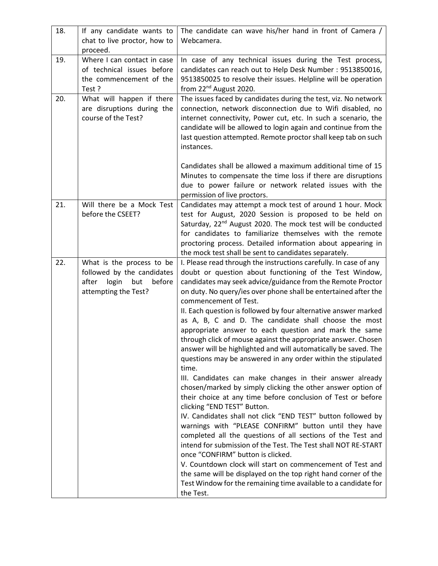| 18. | If any candidate wants to<br>chat to live proctor, how to<br>proceed.                                              | The candidate can wave his/her hand in front of Camera /<br>Webcamera.                                                                                                                                                                                                                                                                                                                                                                                                                                                                                                                                                                                                                                                                                                                                                                                                                                                                                                                                                                                                                                                                                                                                                                                                                                                                                                                                                            |
|-----|--------------------------------------------------------------------------------------------------------------------|-----------------------------------------------------------------------------------------------------------------------------------------------------------------------------------------------------------------------------------------------------------------------------------------------------------------------------------------------------------------------------------------------------------------------------------------------------------------------------------------------------------------------------------------------------------------------------------------------------------------------------------------------------------------------------------------------------------------------------------------------------------------------------------------------------------------------------------------------------------------------------------------------------------------------------------------------------------------------------------------------------------------------------------------------------------------------------------------------------------------------------------------------------------------------------------------------------------------------------------------------------------------------------------------------------------------------------------------------------------------------------------------------------------------------------------|
| 19. | Where I can contact in case<br>of technical issues before<br>the commencement of the<br>Test?                      | In case of any technical issues during the Test process,<br>candidates can reach out to Help Desk Number : 9513850016,<br>9513850025 to resolve their issues. Helpline will be operation<br>from 22 <sup>nd</sup> August 2020.                                                                                                                                                                                                                                                                                                                                                                                                                                                                                                                                                                                                                                                                                                                                                                                                                                                                                                                                                                                                                                                                                                                                                                                                    |
| 20. | What will happen if there<br>are disruptions during the<br>course of the Test?                                     | The issues faced by candidates during the test, viz. No network<br>connection, network disconnection due to Wifi disabled, no<br>internet connectivity, Power cut, etc. In such a scenario, the<br>candidate will be allowed to login again and continue from the<br>last question attempted. Remote proctor shall keep tab on such<br>instances.<br>Candidates shall be allowed a maximum additional time of 15<br>Minutes to compensate the time loss if there are disruptions<br>due to power failure or network related issues with the                                                                                                                                                                                                                                                                                                                                                                                                                                                                                                                                                                                                                                                                                                                                                                                                                                                                                       |
| 21. | Will there be a Mock Test<br>before the CSEET?                                                                     | permission of live proctors.<br>Candidates may attempt a mock test of around 1 hour. Mock<br>test for August, 2020 Session is proposed to be held on<br>Saturday, 22 <sup>nd</sup> August 2020. The mock test will be conducted<br>for candidates to familiarize themselves with the remote<br>proctoring process. Detailed information about appearing in<br>the mock test shall be sent to candidates separately.                                                                                                                                                                                                                                                                                                                                                                                                                                                                                                                                                                                                                                                                                                                                                                                                                                                                                                                                                                                                               |
| 22. | What is the process to be<br>followed by the candidates<br>login<br>before<br>after<br>but<br>attempting the Test? | I. Please read through the instructions carefully. In case of any<br>doubt or question about functioning of the Test Window,<br>candidates may seek advice/guidance from the Remote Proctor<br>on duty. No query/ies over phone shall be entertained after the<br>commencement of Test.<br>II. Each question is followed by four alternative answer marked<br>as A, B, C and D. The candidate shall choose the most<br>appropriate answer to each question and mark the same<br>through click of mouse against the appropriate answer. Chosen<br>answer will be highlighted and will automatically be saved. The<br>questions may be answered in any order within the stipulated<br>time.<br>III. Candidates can make changes in their answer already<br>chosen/marked by simply clicking the other answer option of<br>their choice at any time before conclusion of Test or before<br>clicking "END TEST" Button.<br>IV. Candidates shall not click "END TEST" button followed by<br>warnings with "PLEASE CONFIRM" button until they have<br>completed all the questions of all sections of the Test and<br>intend for submission of the Test. The Test shall NOT RE-START<br>once "CONFIRM" button is clicked.<br>V. Countdown clock will start on commencement of Test and<br>the same will be displayed on the top right hand corner of the<br>Test Window for the remaining time available to a candidate for<br>the Test. |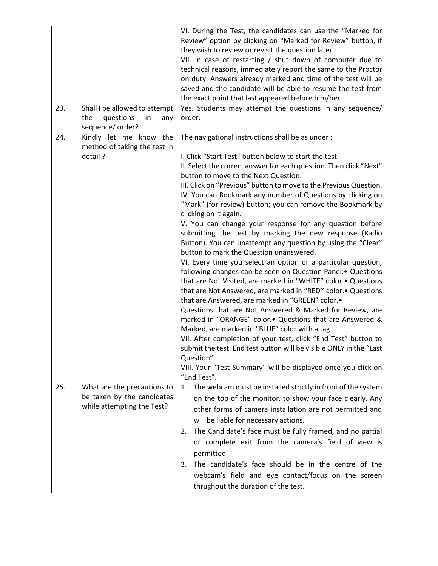|     |                                                                                         | VI. During the Test, the candidates can use the "Marked for<br>Review" option by clicking on "Marked for Review" button, if<br>they wish to review or revisit the question later.<br>VII. In case of restarting / shut down of computer due to<br>technical reasons, immediately report the same to the Proctor<br>on duty. Answers already marked and time of the test will be                                                                                                                                                                                                                                                                                                                                                                                                                                                                                                                                                                                                                                                                                                                                                                                                                                                                                                                                                        |
|-----|-----------------------------------------------------------------------------------------|----------------------------------------------------------------------------------------------------------------------------------------------------------------------------------------------------------------------------------------------------------------------------------------------------------------------------------------------------------------------------------------------------------------------------------------------------------------------------------------------------------------------------------------------------------------------------------------------------------------------------------------------------------------------------------------------------------------------------------------------------------------------------------------------------------------------------------------------------------------------------------------------------------------------------------------------------------------------------------------------------------------------------------------------------------------------------------------------------------------------------------------------------------------------------------------------------------------------------------------------------------------------------------------------------------------------------------------|
|     |                                                                                         | saved and the candidate will be able to resume the test from<br>the exact point that last appeared before him/her.                                                                                                                                                                                                                                                                                                                                                                                                                                                                                                                                                                                                                                                                                                                                                                                                                                                                                                                                                                                                                                                                                                                                                                                                                     |
| 23. | Shall I be allowed to attempt<br>questions<br>the<br>in<br>any<br>sequence/ order?      | Yes. Students may attempt the questions in any sequence/<br>order.                                                                                                                                                                                                                                                                                                                                                                                                                                                                                                                                                                                                                                                                                                                                                                                                                                                                                                                                                                                                                                                                                                                                                                                                                                                                     |
| 24. | Kindly let me know the<br>method of taking the test in<br>detail?                       | The navigational instructions shall be as under :<br>I. Click "Start Test" button below to start the test.<br>II. Select the correct answer for each question. Then click "Next"<br>button to move to the Next Question.<br>III. Click on "Previous" button to move to the Previous Question.<br>IV. You can Bookmark any number of Questions by clicking on<br>"Mark" (for review) button; you can remove the Bookmark by<br>clicking on it again.<br>V. You can change your response for any question before<br>submitting the test by marking the new response (Radio<br>Button). You can unattempt any question by using the "Clear"<br>button to mark the Question unanswered.<br>VI. Every time you select an option or a particular question,<br>following changes can be seen on Question Panel. • Questions<br>that are Not Visited, are marked in "WHITE" color.• Questions<br>that are Not Answered, are marked in "RED" color.• Questions<br>that are Answered, are marked in "GREEN" color.•<br>Questions that are Not Answered & Marked for Review, are<br>marked in "ORANGE" color Questions that are Answered &<br>Marked, are marked in "BLUE" color with a tag<br>VII. After completion of your test, click "End Test" button to<br>submit the test. End test button will be visible ONLY in the "Last<br>Question". |
|     |                                                                                         | VIII. Your "Test Summary" will be displayed once you click on<br>"End Test".                                                                                                                                                                                                                                                                                                                                                                                                                                                                                                                                                                                                                                                                                                                                                                                                                                                                                                                                                                                                                                                                                                                                                                                                                                                           |
| 25. | What are the precautions to<br>be taken by the candidates<br>while attempting the Test? | The webcam must be installed strictly in front of the system<br>1.<br>on the top of the monitor, to show your face clearly. Any<br>other forms of camera installation are not permitted and<br>will be liable for necessary actions.                                                                                                                                                                                                                                                                                                                                                                                                                                                                                                                                                                                                                                                                                                                                                                                                                                                                                                                                                                                                                                                                                                   |
|     |                                                                                         | The Candidate's face must be fully framed, and no partial<br>2.<br>or complete exit from the camera's field of view is<br>permitted.                                                                                                                                                                                                                                                                                                                                                                                                                                                                                                                                                                                                                                                                                                                                                                                                                                                                                                                                                                                                                                                                                                                                                                                                   |
|     |                                                                                         | The candidate's face should be in the centre of the<br>3.<br>webcam's field and eye contact/focus on the screen<br>thrughout the duration of the test.                                                                                                                                                                                                                                                                                                                                                                                                                                                                                                                                                                                                                                                                                                                                                                                                                                                                                                                                                                                                                                                                                                                                                                                 |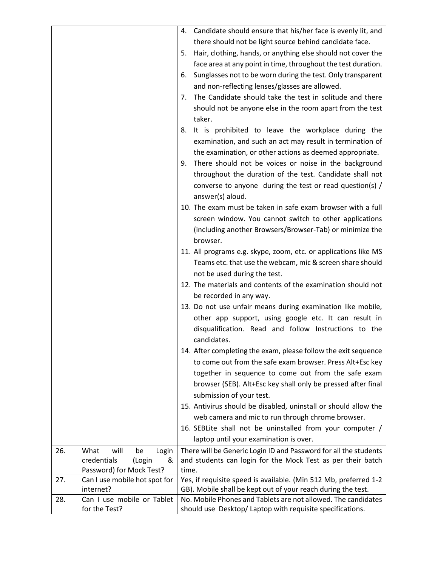|     |                               | Candidate should ensure that his/her face is evenly lit, and<br>4. |
|-----|-------------------------------|--------------------------------------------------------------------|
|     |                               | there should not be light source behind candidate face.            |
|     |                               | Hair, clothing, hands, or anything else should not cover the<br>5. |
|     |                               | face area at any point in time, throughout the test duration.      |
|     |                               | Sunglasses not to be worn during the test. Only transparent<br>6.  |
|     |                               | and non-reflecting lenses/glasses are allowed.                     |
|     |                               |                                                                    |
|     |                               | The Candidate should take the test in solitude and there<br>7.     |
|     |                               | should not be anyone else in the room apart from the test          |
|     |                               | taker.                                                             |
|     |                               | It is prohibited to leave the workplace during the<br>8.           |
|     |                               | examination, and such an act may result in termination of          |
|     |                               | the examination, or other actions as deemed appropriate.           |
|     |                               | There should not be voices or noise in the background<br>9.        |
|     |                               | throughout the duration of the test. Candidate shall not           |
|     |                               | converse to anyone during the test or read question(s) /           |
|     |                               | answer(s) aloud.                                                   |
|     |                               | 10. The exam must be taken in safe exam browser with a full        |
|     |                               | screen window. You cannot switch to other applications             |
|     |                               | (including another Browsers/Browser-Tab) or minimize the           |
|     |                               | browser.                                                           |
|     |                               | 11. All programs e.g. skype, zoom, etc. or applications like MS    |
|     |                               | Teams etc. that use the webcam, mic & screen share should          |
|     |                               | not be used during the test.                                       |
|     |                               | 12. The materials and contents of the examination should not       |
|     |                               |                                                                    |
|     |                               | be recorded in any way.                                            |
|     |                               | 13. Do not use unfair means during examination like mobile,        |
|     |                               | other app support, using google etc. It can result in              |
|     |                               | disqualification. Read and follow Instructions to the              |
|     |                               | candidates.                                                        |
|     |                               | 14. After completing the exam, please follow the exit sequence     |
|     |                               | to come out from the safe exam browser. Press Alt+Esc key          |
|     |                               | together in sequence to come out from the safe exam                |
|     |                               | browser (SEB). Alt+Esc key shall only be pressed after final       |
|     |                               | submission of your test.                                           |
|     |                               | 15. Antivirus should be disabled, uninstall or should allow the    |
|     |                               | web camera and mic to run through chrome browser.                  |
|     |                               | 16. SEBLite shall not be uninstalled from your computer /          |
|     |                               | laptop until your examination is over.                             |
| 26. | What<br>will<br>be<br>Login   | There will be Generic Login ID and Password for all the students   |
|     | credentials<br>(Login<br>&    | and students can login for the Mock Test as per their batch        |
|     | Password) for Mock Test?      | time.                                                              |
| 27. | Can I use mobile hot spot for | Yes, if requisite speed is available. (Min 512 Mb, preferred 1-2   |
|     | internet?                     | GB). Mobile shall be kept out of your reach during the test.       |
| 28. | Can I use mobile or Tablet    | No. Mobile Phones and Tablets are not allowed. The candidates      |
|     | for the Test?                 | should use Desktop/ Laptop with requisite specifications.          |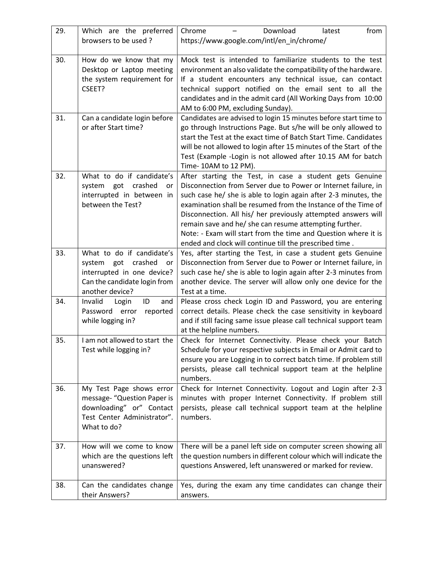| 29. | Which are the preferred                                                                                                                   | Chrome<br>Download<br>from<br>latest                                                                                                                                                                                                                                                                                                                                                                                                                                                                                  |
|-----|-------------------------------------------------------------------------------------------------------------------------------------------|-----------------------------------------------------------------------------------------------------------------------------------------------------------------------------------------------------------------------------------------------------------------------------------------------------------------------------------------------------------------------------------------------------------------------------------------------------------------------------------------------------------------------|
|     | browsers to be used?                                                                                                                      | https://www.google.com/intl/en_in/chrome/                                                                                                                                                                                                                                                                                                                                                                                                                                                                             |
| 30. | How do we know that my<br>Desktop or Laptop meeting<br>the system requirement for<br>CSEET?                                               | Mock test is intended to familiarize students to the test<br>environment an also validate the compatibility of the hardware.<br>If a student encounters any technical issue, can contact<br>technical support notified on the email sent to all the<br>candidates and in the admit card (All Working Days from 10:00<br>AM to 6:00 PM, excluding Sunday).                                                                                                                                                             |
| 31. | Can a candidate login before<br>or after Start time?                                                                                      | Candidates are advised to login 15 minutes before start time to<br>go through Instructions Page. But s/he will be only allowed to<br>start the Test at the exact time of Batch Start Time. Candidates<br>will be not allowed to login after 15 minutes of the Start of the<br>Test (Example -Login is not allowed after 10.15 AM for batch<br>Time-10AM to 12 PM).                                                                                                                                                    |
| 32. | What to do if candidate's<br>crashed<br>system got<br>or<br>interrupted in between in<br>between the Test?                                | After starting the Test, in case a student gets Genuine<br>Disconnection from Server due to Power or Internet failure, in<br>such case he/ she is able to login again after 2-3 minutes, the<br>examination shall be resumed from the Instance of the Time of<br>Disconnection. All his/ her previously attempted answers will<br>remain save and he/ she can resume attempting further.<br>Note: - Exam will start from the time and Question where it is<br>ended and clock will continue till the prescribed time. |
| 33. | What to do if candidate's<br>system got<br>crashed<br>or<br>interrupted in one device?<br>Can the candidate login from<br>another device? | Yes, after starting the Test, in case a student gets Genuine<br>Disconnection from Server due to Power or Internet failure, in<br>such case he/ she is able to login again after 2-3 minutes from<br>another device. The server will allow only one device for the<br>Test at a time.                                                                                                                                                                                                                                 |
| 34. | Invalid<br>Login<br>ID<br>and<br>Password error<br>reported<br>while logging in?                                                          | Please cross check Login ID and Password, you are entering<br>correct details. Please check the case sensitivity in keyboard<br>and if still facing same issue please call technical support team<br>at the helpline numbers.                                                                                                                                                                                                                                                                                         |
| 35. | I am not allowed to start the<br>Test while logging in?                                                                                   | Check for Internet Connectivity. Please check your Batch<br>Schedule for your respective subjects in Email or Admit card to<br>ensure you are Logging in to correct batch time. If problem still<br>persists, please call technical support team at the helpline<br>numbers.                                                                                                                                                                                                                                          |
| 36. | My Test Page shows error<br>message- "Question Paper is<br>downloading" or" Contact<br>Test Center Administrator".<br>What to do?         | Check for Internet Connectivity. Logout and Login after 2-3<br>minutes with proper Internet Connectivity. If problem still<br>persists, please call technical support team at the helpline<br>numbers.                                                                                                                                                                                                                                                                                                                |
| 37. | How will we come to know<br>which are the questions left<br>unanswered?                                                                   | There will be a panel left side on computer screen showing all<br>the question numbers in different colour which will indicate the<br>questions Answered, left unanswered or marked for review.                                                                                                                                                                                                                                                                                                                       |
| 38. | Can the candidates change<br>their Answers?                                                                                               | Yes, during the exam any time candidates can change their<br>answers.                                                                                                                                                                                                                                                                                                                                                                                                                                                 |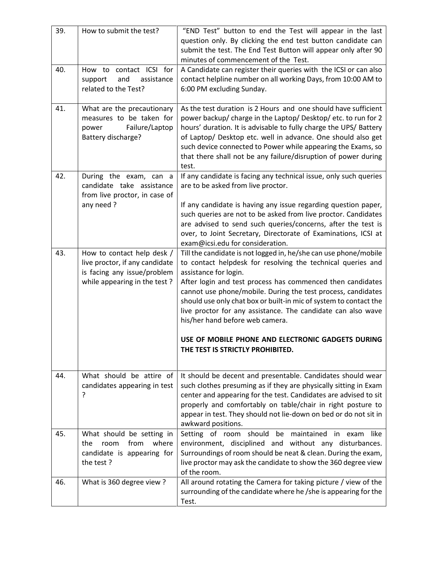| 39. | How to submit the test?           | "END Test" button to end the Test will appear in the last                                                                            |
|-----|-----------------------------------|--------------------------------------------------------------------------------------------------------------------------------------|
|     |                                   | question only. By clicking the end test button candidate can                                                                         |
|     |                                   | submit the test. The End Test Button will appear only after 90                                                                       |
|     |                                   | minutes of commencement of the Test.                                                                                                 |
| 40. | contact ICSI for<br>How to        | A Candidate can register their queries with the ICSI or can also                                                                     |
|     | support<br>and<br>assistance      | contact helpline number on all working Days, from 10:00 AM to                                                                        |
|     | related to the Test?              | 6:00 PM excluding Sunday.                                                                                                            |
|     |                                   |                                                                                                                                      |
| 41. | What are the precautionary        | As the test duration is 2 Hours and one should have sufficient                                                                       |
|     | measures to be taken for          | power backup/ charge in the Laptop/ Desktop/ etc. to run for 2                                                                       |
|     | Failure/Laptop<br>power           | hours' duration. It is advisable to fully charge the UPS/ Battery                                                                    |
|     | Battery discharge?                | of Laptop/ Desktop etc. well in advance. One should also get                                                                         |
|     |                                   | such device connected to Power while appearing the Exams, so                                                                         |
|     |                                   | that there shall not be any failure/disruption of power during                                                                       |
|     |                                   | test.                                                                                                                                |
| 42. | During the exam, can a            | If any candidate is facing any technical issue, only such queries                                                                    |
|     | candidate take assistance         | are to be asked from live proctor.                                                                                                   |
|     | from live proctor, in case of     |                                                                                                                                      |
|     | any need?                         | If any candidate is having any issue regarding question paper,                                                                       |
|     |                                   | such queries are not to be asked from live proctor. Candidates<br>are advised to send such queries/concerns, after the test is       |
|     |                                   | over, to Joint Secretary, Directorate of Examinations, ICSI at                                                                       |
|     |                                   | exam@icsi.edu for consideration.                                                                                                     |
| 43. | How to contact help desk /        | Till the candidate is not logged in, he/she can use phone/mobile                                                                     |
|     | live proctor, if any candidate    | to contact helpdesk for resolving the technical queries and                                                                          |
|     | is facing any issue/problem       | assistance for login.                                                                                                                |
|     | while appearing in the test?      | After login and test process has commenced then candidates                                                                           |
|     |                                   | cannot use phone/mobile. During the test process, candidates                                                                         |
|     |                                   | should use only chat box or built-in mic of system to contact the                                                                    |
|     |                                   | live proctor for any assistance. The candidate can also wave                                                                         |
|     |                                   | his/her hand before web camera.                                                                                                      |
|     |                                   | USE OF MOBILE PHONE AND ELECTRONIC GADGETS DURING                                                                                    |
|     |                                   | THE TEST IS STRICTLY PROHIBITED.                                                                                                     |
|     |                                   |                                                                                                                                      |
|     |                                   |                                                                                                                                      |
| 44. | What should be attire of          | It should be decent and presentable. Candidates should wear                                                                          |
|     | candidates appearing in test<br>? | such clothes presuming as if they are physically sitting in Exam<br>center and appearing for the test. Candidates are advised to sit |
|     |                                   | properly and comfortably on table/chair in right posture to                                                                          |
|     |                                   | appear in test. They should not lie-down on bed or do not sit in                                                                     |
|     |                                   | awkward positions.                                                                                                                   |
| 45. | What should be setting in         | Setting of room should be maintained in exam like                                                                                    |
|     | where<br>from<br>the<br>room      | environment, disciplined and without any disturbances.                                                                               |
|     | candidate is appearing for        | Surroundings of room should be neat & clean. During the exam,                                                                        |
|     | the test?                         | live proctor may ask the candidate to show the 360 degree view                                                                       |
|     |                                   | of the room.                                                                                                                         |
| 46. | What is 360 degree view?          | All around rotating the Camera for taking picture / view of the                                                                      |
|     |                                   | surrounding of the candidate where he /she is appearing for the                                                                      |
|     |                                   | Test.                                                                                                                                |